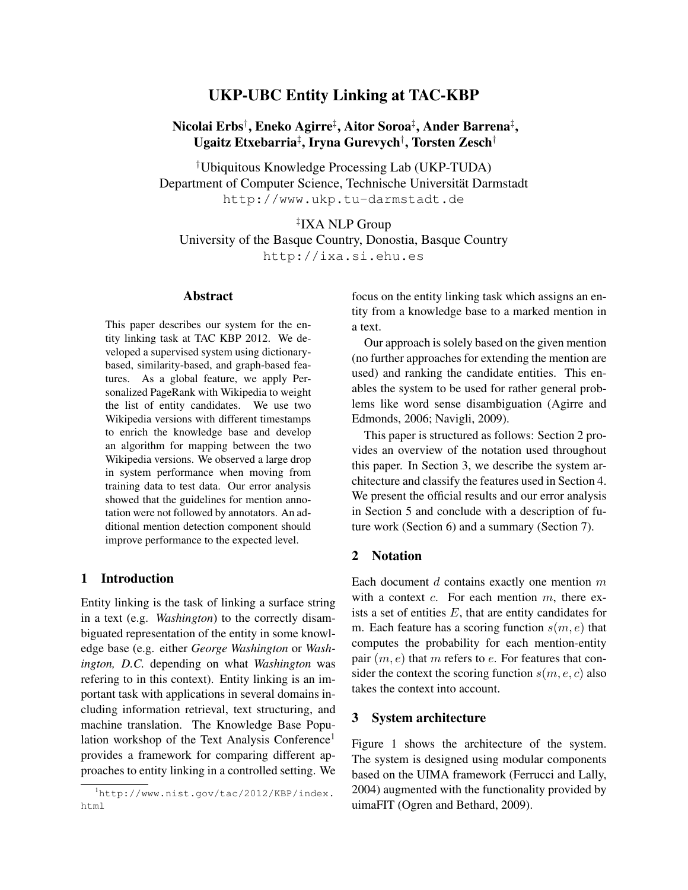# UKP-UBC Entity Linking at TAC-KBP

# Nicolai Erbs† , Eneko Agirre‡ , Aitor Soroa‡ , Ander Barrena‡ , Ugaitz Etxebarria‡ , Iryna Gurevych† , Torsten Zesch†

†Ubiquitous Knowledge Processing Lab (UKP-TUDA) Department of Computer Science, Technische Universität Darmstadt http://www.ukp.tu-darmstadt.de

# ‡ IXA NLP Group

University of the Basque Country, Donostia, Basque Country

http://ixa.si.ehu.es

## Abstract

This paper describes our system for the entity linking task at TAC KBP 2012. We developed a supervised system using dictionarybased, similarity-based, and graph-based features. As a global feature, we apply Personalized PageRank with Wikipedia to weight the list of entity candidates. We use two Wikipedia versions with different timestamps to enrich the knowledge base and develop an algorithm for mapping between the two Wikipedia versions. We observed a large drop in system performance when moving from training data to test data. Our error analysis showed that the guidelines for mention annotation were not followed by annotators. An additional mention detection component should improve performance to the expected level.

#### 1 Introduction

Entity linking is the task of linking a surface string in a text (e.g. *Washington*) to the correctly disambiguated representation of the entity in some knowledge base (e.g. either *George Washington* or *Washington, D.C.* depending on what *Washington* was refering to in this context). Entity linking is an important task with applications in several domains including information retrieval, text structuring, and machine translation. The Knowledge Base Population workshop of the Text Analysis Conference<sup>1</sup> provides a framework for comparing different approaches to entity linking in a controlled setting. We focus on the entity linking task which assigns an entity from a knowledge base to a marked mention in a text.

Our approach is solely based on the given mention (no further approaches for extending the mention are used) and ranking the candidate entities. This enables the system to be used for rather general problems like word sense disambiguation (Agirre and Edmonds, 2006; Navigli, 2009).

This paper is structured as follows: Section 2 provides an overview of the notation used throughout this paper. In Section 3, we describe the system architecture and classify the features used in Section 4. We present the official results and our error analysis in Section 5 and conclude with a description of future work (Section 6) and a summary (Section 7).

# 2 Notation

Each document  $d$  contains exactly one mention  $m$ with a context  $c$ . For each mention  $m$ , there exists a set of entities  $E$ , that are entity candidates for m. Each feature has a scoring function  $s(m, e)$  that computes the probability for each mention-entity pair  $(m, e)$  that m refers to e. For features that consider the context the scoring function  $s(m, e, c)$  also takes the context into account.

#### 3 System architecture

Figure 1 shows the architecture of the system. The system is designed using modular components based on the UIMA framework (Ferrucci and Lally, 2004) augmented with the functionality provided by uimaFIT (Ogren and Bethard, 2009).

<sup>1</sup>http://www.nist.gov/tac/2012/KBP/index. html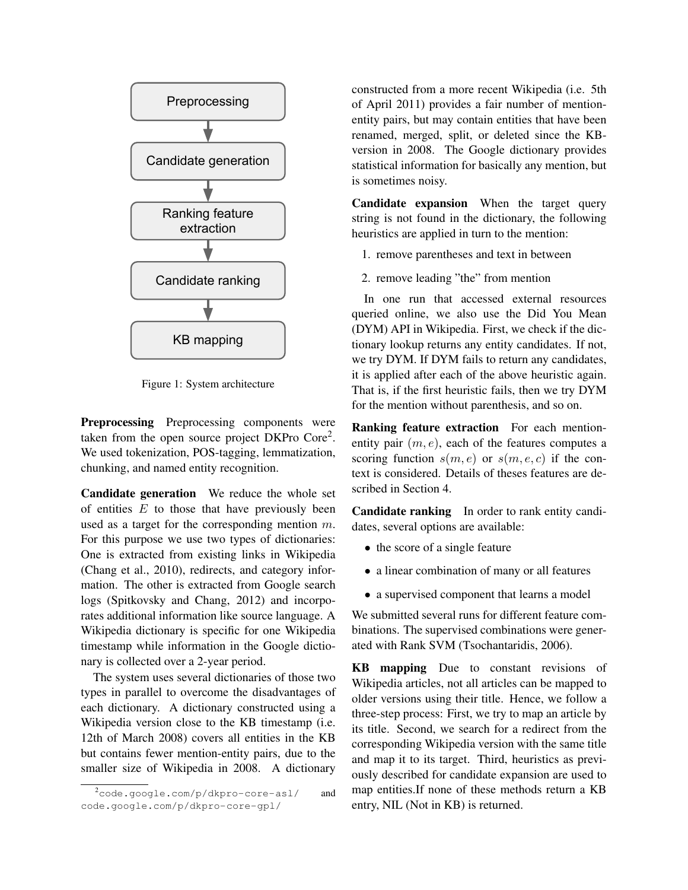

Figure 1: System architecture

Preprocessing Preprocessing components were taken from the open source project DKPro Core<sup>2</sup>. We used tokenization, POS-tagging, lemmatization, chunking, and named entity recognition.

Candidate generation We reduce the whole set of entities  $E$  to those that have previously been used as a target for the corresponding mention m. For this purpose we use two types of dictionaries: One is extracted from existing links in Wikipedia (Chang et al., 2010), redirects, and category information. The other is extracted from Google search logs (Spitkovsky and Chang, 2012) and incorporates additional information like source language. A Wikipedia dictionary is specific for one Wikipedia timestamp while information in the Google dictionary is collected over a 2-year period.

The system uses several dictionaries of those two types in parallel to overcome the disadvantages of each dictionary. A dictionary constructed using a Wikipedia version close to the KB timestamp (i.e. 12th of March 2008) covers all entities in the KB but contains fewer mention-entity pairs, due to the smaller size of Wikipedia in 2008. A dictionary

constructed from a more recent Wikipedia (i.e. 5th of April 2011) provides a fair number of mentionentity pairs, but may contain entities that have been renamed, merged, split, or deleted since the KBversion in 2008. The Google dictionary provides statistical information for basically any mention, but is sometimes noisy.

Candidate expansion When the target query string is not found in the dictionary, the following heuristics are applied in turn to the mention:

1. remove parentheses and text in between

2. remove leading "the" from mention

In one run that accessed external resources queried online, we also use the Did You Mean (DYM) API in Wikipedia. First, we check if the dictionary lookup returns any entity candidates. If not, we try DYM. If DYM fails to return any candidates, it is applied after each of the above heuristic again. That is, if the first heuristic fails, then we try DYM for the mention without parenthesis, and so on.

Ranking feature extraction For each mentionentity pair  $(m, e)$ , each of the features computes a scoring function  $s(m, e)$  or  $s(m, e, c)$  if the context is considered. Details of theses features are described in Section 4.

Candidate ranking In order to rank entity candidates, several options are available:

- the score of a single feature
- a linear combination of many or all features
- a supervised component that learns a model

We submitted several runs for different feature combinations. The supervised combinations were generated with Rank SVM (Tsochantaridis, 2006).

KB mapping Due to constant revisions of Wikipedia articles, not all articles can be mapped to older versions using their title. Hence, we follow a three-step process: First, we try to map an article by its title. Second, we search for a redirect from the corresponding Wikipedia version with the same title and map it to its target. Third, heuristics as previously described for candidate expansion are used to map entities.If none of these methods return a KB entry, NIL (Not in KB) is returned.

<sup>2</sup>code.google.com/p/dkpro-core-asl/ and code.google.com/p/dkpro-core-gpl/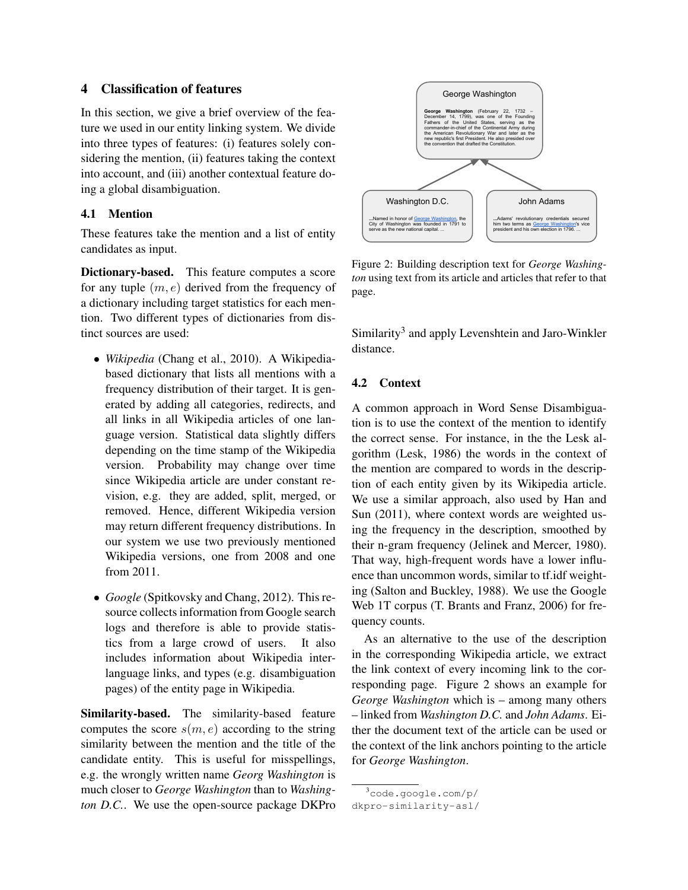# 4 Classification of features

In this section, we give a brief overview of the feature we used in our entity linking system. We divide into three types of features: (i) features solely considering the mention, (ii) features taking the context into account, and (iii) another contextual feature doing a global disambiguation.

#### 4.1 Mention

These features take the mention and a list of entity candidates as input.

Dictionary-based. This feature computes a score for any tuple  $(m, e)$  derived from the frequency of a dictionary including target statistics for each mention. Two different types of dictionaries from distinct sources are used:

- *Wikipedia* (Chang et al., 2010). A Wikipediabased dictionary that lists all mentions with a frequency distribution of their target. It is generated by adding all categories, redirects, and all links in all Wikipedia articles of one language version. Statistical data slightly differs depending on the time stamp of the Wikipedia version. Probability may change over time since Wikipedia article are under constant revision, e.g. they are added, split, merged, or removed. Hence, different Wikipedia version may return different frequency distributions. In our system we use two previously mentioned Wikipedia versions, one from 2008 and one from 2011.
- *Google* (Spitkovsky and Chang, 2012). This resource collects information from Google search logs and therefore is able to provide statistics from a large crowd of users. It also includes information about Wikipedia interlanguage links, and types (e.g. disambiguation pages) of the entity page in Wikipedia.

Similarity-based. The similarity-based feature computes the score  $s(m, e)$  according to the string similarity between the mention and the title of the candidate entity. This is useful for misspellings, e.g. the wrongly written name *Georg Washington* is much closer to *George Washington* than to *Washington D.C.*. We use the open-source package DKPro



Figure 2: Building description text for *George Washington* using text from its article and articles that refer to that page.

Similarity<sup>3</sup> and apply Levenshtein and Jaro-Winkler distance.

### 4.2 Context

A common approach in Word Sense Disambiguation is to use the context of the mention to identify the correct sense. For instance, in the the Lesk algorithm (Lesk, 1986) the words in the context of the mention are compared to words in the description of each entity given by its Wikipedia article. We use a similar approach, also used by Han and Sun (2011), where context words are weighted using the frequency in the description, smoothed by their n-gram frequency (Jelinek and Mercer, 1980). That way, high-frequent words have a lower influence than uncommon words, similar to tf.idf weighting (Salton and Buckley, 1988). We use the Google Web 1T corpus (T. Brants and Franz, 2006) for frequency counts.

As an alternative to the use of the description in the corresponding Wikipedia article, we extract the link context of every incoming link to the corresponding page. Figure 2 shows an example for *George Washington* which is – among many others – linked from *Washington D.C.* and *John Adams*. Either the document text of the article can be used or the context of the link anchors pointing to the article for *George Washington*.

<sup>3</sup>code.google.com/p/ dkpro-similarity-asl/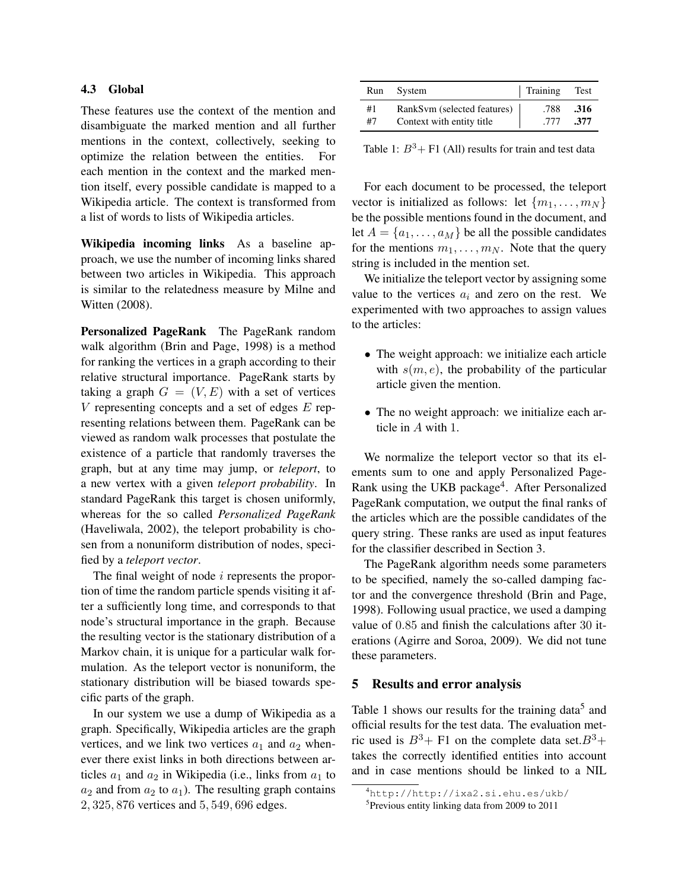#### 4.3 Global

These features use the context of the mention and disambiguate the marked mention and all further mentions in the context, collectively, seeking to optimize the relation between the entities. For each mention in the context and the marked mention itself, every possible candidate is mapped to a Wikipedia article. The context is transformed from a list of words to lists of Wikipedia articles.

Wikipedia incoming links As a baseline approach, we use the number of incoming links shared between two articles in Wikipedia. This approach is similar to the relatedness measure by Milne and Witten (2008).

Personalized PageRank The PageRank random walk algorithm (Brin and Page, 1998) is a method for ranking the vertices in a graph according to their relative structural importance. PageRank starts by taking a graph  $G = (V, E)$  with a set of vertices  $V$  representing concepts and a set of edges  $E$  representing relations between them. PageRank can be viewed as random walk processes that postulate the existence of a particle that randomly traverses the graph, but at any time may jump, or *teleport*, to a new vertex with a given *teleport probability*. In standard PageRank this target is chosen uniformly, whereas for the so called *Personalized PageRank* (Haveliwala, 2002), the teleport probability is chosen from a nonuniform distribution of nodes, specified by a *teleport vector*.

The final weight of node *i* represents the proportion of time the random particle spends visiting it after a sufficiently long time, and corresponds to that node's structural importance in the graph. Because the resulting vector is the stationary distribution of a Markov chain, it is unique for a particular walk formulation. As the teleport vector is nonuniform, the stationary distribution will be biased towards specific parts of the graph.

In our system we use a dump of Wikipedia as a graph. Specifically, Wikipedia articles are the graph vertices, and we link two vertices  $a_1$  and  $a_2$  whenever there exist links in both directions between articles  $a_1$  and  $a_2$  in Wikipedia (i.e., links from  $a_1$  to  $a_2$  and from  $a_2$  to  $a_1$ ). The resulting graph contains 2, 325, 876 vertices and 5, 549, 696 edges.

|    | Run System                  | Training | Test |
|----|-----------------------------|----------|------|
| #1 | RankSvm (selected features) | .788     | .316 |
| #7 | Context with entity title   | .777     | .377 |

Table 1:  $B^3$ + F1 (All) results for train and test data

For each document to be processed, the teleport vector is initialized as follows: let  $\{m_1, \ldots, m_N\}$ be the possible mentions found in the document, and let  $A = \{a_1, \ldots, a_M\}$  be all the possible candidates for the mentions  $m_1, \ldots, m_N$ . Note that the query string is included in the mention set.

We initialize the teleport vector by assigning some value to the vertices  $a_i$  and zero on the rest. We experimented with two approaches to assign values to the articles:

- The weight approach: we initialize each article with  $s(m, e)$ , the probability of the particular article given the mention.
- The no weight approach: we initialize each article in A with 1.

We normalize the teleport vector so that its elements sum to one and apply Personalized Page-Rank using the UKB package<sup>4</sup>. After Personalized PageRank computation, we output the final ranks of the articles which are the possible candidates of the query string. These ranks are used as input features for the classifier described in Section 3.

The PageRank algorithm needs some parameters to be specified, namely the so-called damping factor and the convergence threshold (Brin and Page, 1998). Following usual practice, we used a damping value of 0.85 and finish the calculations after 30 iterations (Agirre and Soroa, 2009). We did not tune these parameters.

#### 5 Results and error analysis

Table 1 shows our results for the training data<sup>5</sup> and official results for the test data. The evaluation metric used is  $B^3$ + F1 on the complete data set. $B^3$ + takes the correctly identified entities into account and in case mentions should be linked to a NIL

<sup>4</sup>http://http://ixa2.si.ehu.es/ukb/

<sup>5</sup> Previous entity linking data from 2009 to 2011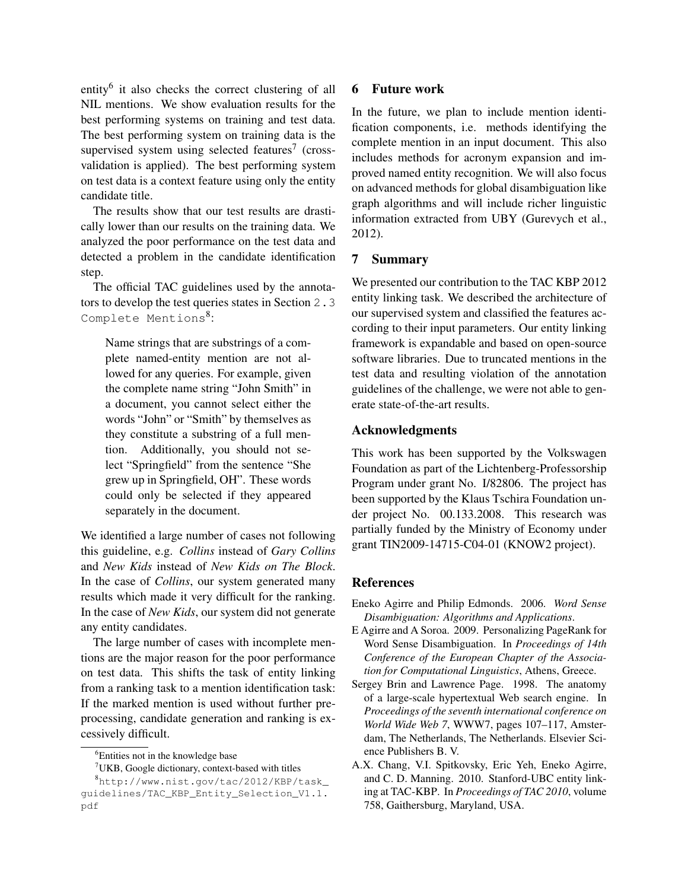entity<sup>6</sup> it also checks the correct clustering of all NIL mentions. We show evaluation results for the best performing systems on training and test data. The best performing system on training data is the supervised system using selected features<sup>7</sup> (crossvalidation is applied). The best performing system on test data is a context feature using only the entity candidate title.

The results show that our test results are drastically lower than our results on the training data. We analyzed the poor performance on the test data and detected a problem in the candidate identification step.

The official TAC guidelines used by the annotators to develop the test queries states in Section 2.3 Complete Mentions<sup>8</sup>:

Name strings that are substrings of a complete named-entity mention are not allowed for any queries. For example, given the complete name string "John Smith" in a document, you cannot select either the words "John" or "Smith" by themselves as they constitute a substring of a full mention. Additionally, you should not select "Springfield" from the sentence "She grew up in Springfield, OH". These words could only be selected if they appeared separately in the document.

We identified a large number of cases not following this guideline, e.g. *Collins* instead of *Gary Collins* and *New Kids* instead of *New Kids on The Block*. In the case of *Collins*, our system generated many results which made it very difficult for the ranking. In the case of *New Kids*, our system did not generate any entity candidates.

The large number of cases with incomplete mentions are the major reason for the poor performance on test data. This shifts the task of entity linking from a ranking task to a mention identification task: If the marked mention is used without further preprocessing, candidate generation and ranking is excessively difficult.

#### 6 Future work

In the future, we plan to include mention identification components, i.e. methods identifying the complete mention in an input document. This also includes methods for acronym expansion and improved named entity recognition. We will also focus on advanced methods for global disambiguation like graph algorithms and will include richer linguistic information extracted from UBY (Gurevych et al., 2012).

## 7 Summary

We presented our contribution to the TAC KBP 2012 entity linking task. We described the architecture of our supervised system and classified the features according to their input parameters. Our entity linking framework is expandable and based on open-source software libraries. Due to truncated mentions in the test data and resulting violation of the annotation guidelines of the challenge, we were not able to generate state-of-the-art results.

## Acknowledgments

This work has been supported by the Volkswagen Foundation as part of the Lichtenberg-Professorship Program under grant No. I/82806. The project has been supported by the Klaus Tschira Foundation under project No. 00.133.2008. This research was partially funded by the Ministry of Economy under grant TIN2009-14715-C04-01 (KNOW2 project).

#### **References**

- Eneko Agirre and Philip Edmonds. 2006. *Word Sense Disambiguation: Algorithms and Applications*.
- E Agirre and A Soroa. 2009. Personalizing PageRank for Word Sense Disambiguation. In *Proceedings of 14th Conference of the European Chapter of the Association for Computational Linguistics*, Athens, Greece.
- Sergey Brin and Lawrence Page. 1998. The anatomy of a large-scale hypertextual Web search engine. In *Proceedings of the seventh international conference on World Wide Web 7*, WWW7, pages 107–117, Amsterdam, The Netherlands, The Netherlands. Elsevier Science Publishers B. V.
- A.X. Chang, V.I. Spitkovsky, Eric Yeh, Eneko Agirre, and C. D. Manning. 2010. Stanford-UBC entity linking at TAC-KBP. In *Proceedings of TAC 2010*, volume 758, Gaithersburg, Maryland, USA.

<sup>&</sup>lt;sup>6</sup>Entities not in the knowledge base

 $7$ UKB, Google dictionary, context-based with titles

<sup>8</sup>http://www.nist.gov/tac/2012/KBP/task\_ guidelines/TAC\_KBP\_Entity\_Selection\_V1.1. pdf